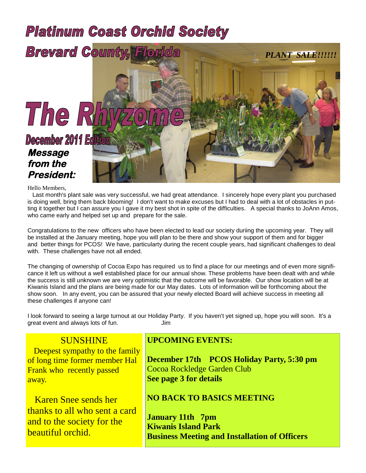# **Platinum Coast Orchid Society**



Hello Members,

Last month's plant sale was very successful, we had great attendance. I sincerely hope every plant you purchased is doing well, bring them back blooming! I don't want to make excuses but I had to deal with a lot of obstacles in putting it together but I can assure you I gave it my best shot in spite of the difficulties. A special thanks to JoAnn Amos, who came early and helped set up and prepare for the sale.

Congratulations to the new officers who have been elected to lead our society duriing the upcoming year. They will be installed at the January meeting, hope you will plan to be there and show your support of them and for bigger and better things for PCOS! We have, particularty during the recent couple years, had significant challenges to deal with. These challenges have not all ended.

The changing of ownership of Cocoa Expo has required us to find a place for our meetings and of even more significance it left us without a well established place for our annual show. These problems have been dealt with and while the success is still unknown we are very optimistic that the outcome will be favorable. Our show location will be at Kiwanis Island and the plans are being made for our May dates. Lots of information will be forthcoming about the show soon. In any event, you can be assured that your newly elected Board will achieve success in meeting all these challenges if anyone can!

I look forward to seeing a large turnout at our Holiday Party. If you haven't yet signed up, hope you will soon. It's a great event and always lots of fun. The same states of function  $\mathsf{Jim}\ \mathsf{I}$ 

# **SUNSHINE**

Deepest sympathy to the family of long time former member Hal Frank who recently passed away.

Karen Snee sends her thanks to all who sent a card and to the society for the beautiful orchid.

### **UPCOMING EVENTS:**

**December 17th PCOS Holiday Party, 5:30 pm** Cocoa Rockledge Garden Club **See page 3 for details**

### **NO BACK TO BASICS MEETING**

**January 11th 7pm Kiwanis Island Park Business Meeting and Installation of Officers**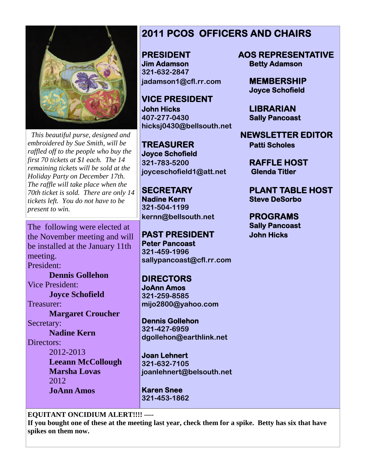

*This beautiful purse, designed and embroidered by Sue Smith, will be raffled off to the people who buy the first 70 tickets at \$1 each. The 14 remaining tickets will be sold at the Holiday Party on December 17th. The raffle will take place when the 70th ticket is sold. There are only 14 tickets left. You do not have to be present to win.*

The following were elected at the November meeting and will be installed at the January 11th meeting.

President:

**Dennis Gollehon** Vice President: **Joyce Schofield** Treasurer: **Margaret Croucher** Secretary: **Nadine Kern** Directors: 2012-2013 **Leeann McCollough Marsha Lovas**

2012 **JoAnn Amos**

# **2011 PCOS OFFICERS AND CHAIRS**

**Jim Adamson Betty Adamson 321-632-2847 jadamson1@cfl.rr.com MEMBERSHIP**

**VICE PRESIDENT John Hicks LIBRARIAN 407-277-0430 Sally Pancoast hicksj0430@bellsouth.net**

**TREASURER Patti Scholes Joyce Schofield 321-783-5200 RAFFLE HOST joyceschofield1@att.net Glenda Titler**

**Nadine Kern Steve DeSorbo 321-504-1199 kernn@bellsouth.net PROGRAMS**

**PAST PRESIDENT John Hicks Peter Pancoast 321-459-1996 sallypancoast@cfl.rr.com**

**DIRECTORS JoAnn Amos 321-259-8585 mijo2800@yahoo.com**

**Dennis Gollehon 321-427-6959 dgollehon@earthlink.net**

**Joan Lehnert 321-632-7105 joanlehnert@belsouth.net**

**Karen Snee 321-453-1862**

### **EQUITANT ONCIDIUM ALERT!!!! —-**

**If you bought one of these at the meeting last year, check them for a spike. Betty has six that have spikes on them now.**

**PRESIDENT AOS REPRESENTATIVE**

**Joyce Schofield**

**NEWSLETTER EDITOR**

**SECRETARY PLANT TABLE HOST**

**Sally Pancoast**